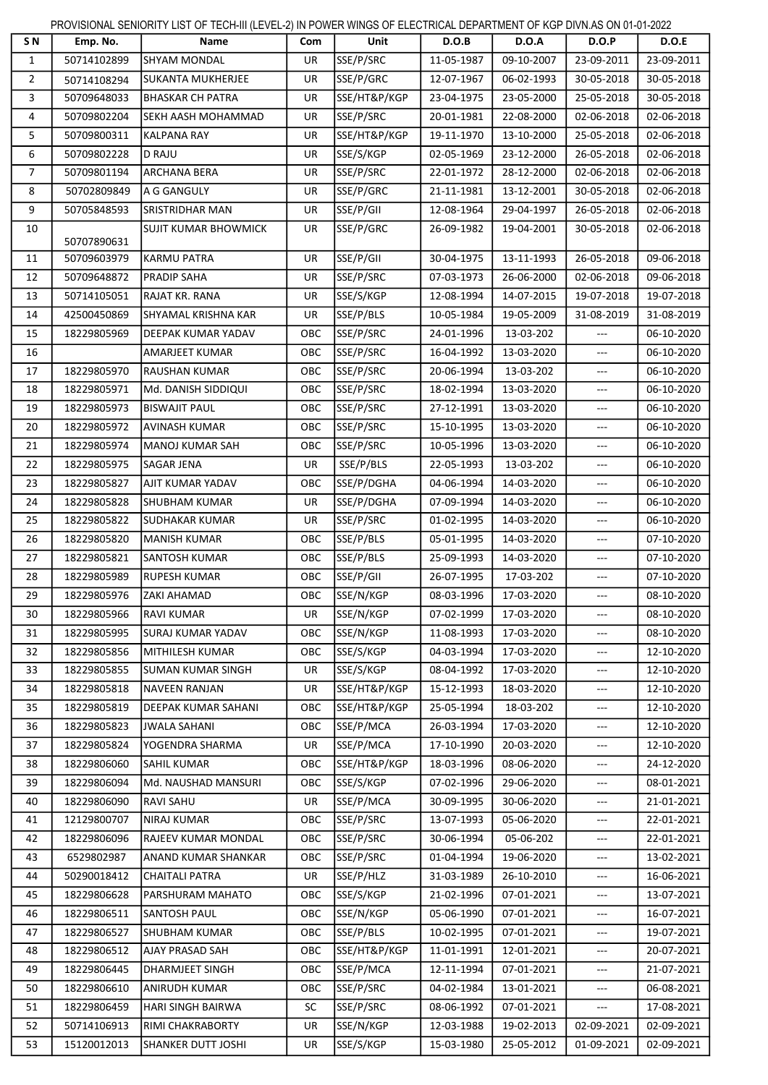PROVISIONAL SENIORITY LIST OF TECH-III (LEVEL-2) IN POWER WINGS OF ELECTRICAL DEPARTMENT OF KGP DIVN.AS ON 01-01-2022

| S N            | Emp. No.    | Name                        | Com        | Unit         | D.O.B      | <b>D.O.A</b> | <b>D.O.P</b>                           | D.O.E      |
|----------------|-------------|-----------------------------|------------|--------------|------------|--------------|----------------------------------------|------------|
| $\mathbf{1}$   | 50714102899 | <b>SHYAM MONDAL</b>         | UR         | SSE/P/SRC    | 11-05-1987 | 09-10-2007   | 23-09-2011                             | 23-09-2011 |
| $\overline{2}$ | 50714108294 | <b>SUKANTA MUKHERJEE</b>    | UR         | SSE/P/GRC    | 12-07-1967 | 06-02-1993   | 30-05-2018                             | 30-05-2018 |
| 3              | 50709648033 | <b>BHASKAR CH PATRA</b>     | UR         | SSE/HT&P/KGP | 23-04-1975 | 23-05-2000   | 25-05-2018                             | 30-05-2018 |
| 4              | 50709802204 | SEKH AASH MOHAMMAD          | UR         | SSE/P/SRC    | 20-01-1981 | 22-08-2000   | 02-06-2018                             | 02-06-2018 |
| 5              | 50709800311 | <b>KALPANA RAY</b>          | <b>UR</b>  | SSE/HT&P/KGP | 19-11-1970 | 13-10-2000   | 25-05-2018                             | 02-06-2018 |
| 6              | 50709802228 | <b>D RAJU</b>               | UR         | SSE/S/KGP    | 02-05-1969 | 23-12-2000   | 26-05-2018                             | 02-06-2018 |
| 7              | 50709801194 | <b>ARCHANA BERA</b>         | UR         | SSE/P/SRC    | 22-01-1972 | 28-12-2000   | 02-06-2018                             | 02-06-2018 |
| 8              | 50702809849 | A G GANGULY                 | UR         | SSE/P/GRC    | 21-11-1981 | 13-12-2001   | 30-05-2018                             | 02-06-2018 |
| 9              | 50705848593 | <b>SRISTRIDHAR MAN</b>      | <b>UR</b>  | SSE/P/GII    | 12-08-1964 | 29-04-1997   | 26-05-2018                             | 02-06-2018 |
| 10             | 50707890631 | <b>SUJIT KUMAR BHOWMICK</b> | UR         | SSE/P/GRC    | 26-09-1982 | 19-04-2001   | 30-05-2018                             | 02-06-2018 |
| 11             | 50709603979 | <b>KARMU PATRA</b>          | UR         | SSE/P/GII    | 30-04-1975 | 13-11-1993   | 26-05-2018                             | 09-06-2018 |
| 12             | 50709648872 | <b>PRADIP SAHA</b>          | UR         | SSE/P/SRC    | 07-03-1973 | 26-06-2000   | 02-06-2018                             | 09-06-2018 |
| 13             | 50714105051 | RAJAT KR. RANA              | UR         | SSE/S/KGP    | 12-08-1994 | 14-07-2015   | 19-07-2018                             | 19-07-2018 |
| 14             | 42500450869 | SHYAMAL KRISHNA KAR         | UR         | SSE/P/BLS    | 10-05-1984 | 19-05-2009   | 31-08-2019                             | 31-08-2019 |
| 15             | 18229805969 | <b>DEEPAK KUMAR YADAV</b>   | OBC        | SSE/P/SRC    | 24-01-1996 | 13-03-202    | ---                                    | 06-10-2020 |
| 16             |             | <b>AMARJEET KUMAR</b>       | OBC        | SSE/P/SRC    | 16-04-1992 | 13-03-2020   | ---                                    | 06-10-2020 |
| 17             | 18229805970 | <b>RAUSHAN KUMAR</b>        | OBC        | SSE/P/SRC    | 20-06-1994 | 13-03-202    | $---$                                  | 06-10-2020 |
| 18             | 18229805971 | Md. DANISH SIDDIQUI         | <b>OBC</b> | SSE/P/SRC    | 18-02-1994 | 13-03-2020   | $\overline{a}$                         | 06-10-2020 |
| 19             | 18229805973 | <b>BISWAJIT PAUL</b>        | OBC        | SSE/P/SRC    | 27-12-1991 | 13-03-2020   | ---                                    | 06-10-2020 |
| 20             | 18229805972 | <b>AVINASH KUMAR</b>        | OBC        | SSE/P/SRC    | 15-10-1995 | 13-03-2020   | ---                                    | 06-10-2020 |
| 21             | 18229805974 | MANOJ KUMAR SAH             | OBC        | SSE/P/SRC    | 10-05-1996 | 13-03-2020   | $\overline{a}$                         | 06-10-2020 |
| 22             | 18229805975 | <b>SAGAR JENA</b>           | UR         | SSE/P/BLS    | 22-05-1993 | 13-03-202    | ---                                    | 06-10-2020 |
| 23             | 18229805827 | AJIT KUMAR YADAV            | OBC        | SSE/P/DGHA   | 04-06-1994 | 14-03-2020   | $---$                                  | 06-10-2020 |
| 24             | 18229805828 | <b>SHUBHAM KUMAR</b>        | UR         | SSE/P/DGHA   | 07-09-1994 | 14-03-2020   | $\overline{\phantom{a}}$               | 06-10-2020 |
| 25             | 18229805822 | <b>SUDHAKAR KUMAR</b>       | UR         | SSE/P/SRC    | 01-02-1995 | 14-03-2020   | ---                                    | 06-10-2020 |
| 26             | 18229805820 | <b>MANISH KUMAR</b>         | OBC        | SSE/P/BLS    | 05-01-1995 | 14-03-2020   | ---                                    | 07-10-2020 |
| 27             | 18229805821 | <b>SANTOSH KUMAR</b>        | OBC        | SSE/P/BLS    | 25-09-1993 | 14-03-2020   | ---                                    | 07-10-2020 |
| 28             | 18229805989 | <b>RUPESH KUMAR</b>         | <b>OBC</b> | SSE/P/GII    | 26-07-1995 | 17-03-202    | ---                                    | 07-10-2020 |
| 29             | 18229805976 | <b>ZAKI AHAMAD</b>          | OBC        | SSE/N/KGP    | 08-03-1996 | 17-03-2020   | $---$                                  | 08-10-2020 |
| 30             | 18229805966 | <b>RAVI KUMAR</b>           | UR         | SSE/N/KGP    | 07-02-1999 | 17-03-2020   | ---                                    | 08-10-2020 |
| 31             | 18229805995 | <b>SURAJ KUMAR YADAV</b>    | <b>OBC</b> | SSE/N/KGP    | 11-08-1993 | 17-03-2020   | $\scriptstyle\cdots\scriptstyle\cdots$ | 08-10-2020 |
| 32             | 18229805856 | MITHILESH KUMAR             | <b>OBC</b> | SSE/S/KGP    | 04-03-1994 | 17-03-2020   | $---$                                  | 12-10-2020 |
| 33             | 18229805855 | <b>SUMAN KUMAR SINGH</b>    | UR         | SSE/S/KGP    | 08-04-1992 | 17-03-2020   | ---                                    | 12-10-2020 |
| 34             | 18229805818 | <b>NAVEEN RANJAN</b>        | UR         | SSE/HT&P/KGP | 15-12-1993 | 18-03-2020   | ---                                    | 12-10-2020 |
| 35             | 18229805819 | DEEPAK KUMAR SAHANI         | <b>OBC</b> | SSE/HT&P/KGP | 25-05-1994 | 18-03-202    | ---                                    | 12-10-2020 |
| 36             | 18229805823 | <b>JWALA SAHANI</b>         | OBC        | SSE/P/MCA    | 26-03-1994 | 17-03-2020   | $\sim$ $\sim$                          | 12-10-2020 |
| 37             | 18229805824 | YOGENDRA SHARMA             | <b>UR</b>  | SSE/P/MCA    | 17-10-1990 | 20-03-2020   | $---$                                  | 12-10-2020 |
|                | 18229806060 | <b>SAHIL KUMAR</b>          | OBC        | SSE/HT&P/KGP | 18-03-1996 | 08-06-2020   | $---$                                  | 24-12-2020 |
| 38             |             | Md. NAUSHAD MANSURI         |            |              |            |              |                                        |            |
| 39             | 18229806094 |                             | <b>OBC</b> | SSE/S/KGP    | 07-02-1996 | 29-06-2020   | $---$                                  | 08-01-2021 |
| 40             | 18229806090 | <b>RAVI SAHU</b>            | UR         | SSE/P/MCA    | 30-09-1995 | 30-06-2020   | ---                                    | 21-01-2021 |
| 41             | 12129800707 | <b>NIRAJ KUMAR</b>          | <b>OBC</b> | SSE/P/SRC    | 13-07-1993 | 05-06-2020   | ---                                    | 22-01-2021 |
| 42             | 18229806096 | RAJEEV KUMAR MONDAL         | OBC        | SSE/P/SRC    | 30-06-1994 | 05-06-202    | $\cdots$                               | 22-01-2021 |
| 43             | 6529802987  | ANAND KUMAR SHANKAR         | OBC        | SSE/P/SRC    | 01-04-1994 | 19-06-2020   | ---                                    | 13-02-2021 |
| 44             | 50290018412 | <b>CHAITALI PATRA</b>       | UR         | SSE/P/HLZ    | 31-03-1989 | 26-10-2010   | $---$                                  | 16-06-2021 |
| 45             | 18229806628 | PARSHURAM MAHATO            | <b>OBC</b> | SSE/S/KGP    | 21-02-1996 | 07-01-2021   | $-\!-\!$                               | 13-07-2021 |
| 46             | 18229806511 | <b>SANTOSH PAUL</b>         | <b>OBC</b> | SSE/N/KGP    | 05-06-1990 | 07-01-2021   | ---                                    | 16-07-2021 |
| 47             | 18229806527 | <b>SHUBHAM KUMAR</b>        | <b>OBC</b> | SSE/P/BLS    | 10-02-1995 | 07-01-2021   | $\sim$ $\sim$                          | 19-07-2021 |
| 48             | 18229806512 | AJAY PRASAD SAH             | OBC        | SSE/HT&P/KGP | 11-01-1991 | 12-01-2021   | ---                                    | 20-07-2021 |
| 49             | 18229806445 | <b>DHARMJEET SINGH</b>      | <b>OBC</b> | SSE/P/MCA    | 12-11-1994 | 07-01-2021   | ---                                    | 21-07-2021 |
| 50             | 18229806610 | ANIRUDH KUMAR               | <b>OBC</b> | SSE/P/SRC    | 04-02-1984 | 13-01-2021   | $\sim$ $\sim$                          | 06-08-2021 |
| 51             | 18229806459 | <b>HARI SINGH BAIRWA</b>    | SC         | SSE/P/SRC    | 08-06-1992 | 07-01-2021   |                                        | 17-08-2021 |
| 52             | 50714106913 | RIMI CHAKRABORTY            | UR         | SSE/N/KGP    | 12-03-1988 | 19-02-2013   | 02-09-2021                             | 02-09-2021 |
| 53             | 15120012013 | <b>SHANKER DUTT JOSHI</b>   | UR         | SSE/S/KGP    | 15-03-1980 | 25-05-2012   | 01-09-2021                             | 02-09-2021 |